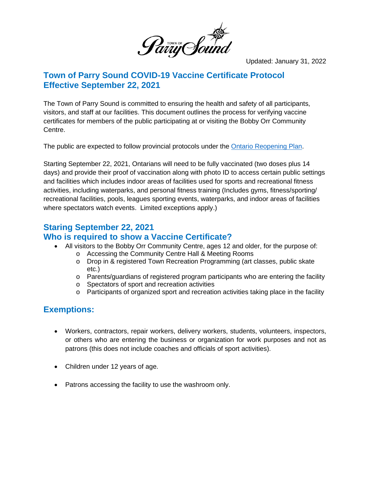

Updated: January 31, 2022

### **Town of Parry Sound COVID-19 Vaccine Certificate Protocol Effective September 22, 2021**

The Town of Parry Sound is committed to ensuring the health and safety of all participants, visitors, and staff at our facilities. This document outlines the process for verifying vaccine certificates for members of the public participating at or visiting the Bobby Orr Community Centre.

The public are expected to follow provincial protocols under the [Ontario Reopening Plan.](https://www.ontario.ca/page/reopening-ontario)

Starting September 22, 2021, Ontarians will need to be fully vaccinated (two doses plus 14 days) and provide their proof of vaccination along with photo ID to access certain public settings and facilities which includes indoor areas of facilities used for sports and recreational fitness activities, including waterparks, and personal fitness training (Includes gyms, fitness/sporting/ recreational facilities, pools, leagues sporting events, waterparks, and indoor areas of facilities where spectators watch events. Limited exceptions apply.)

## **Staring September 22, 2021**

#### **Who is required to show a Vaccine Certificate?**

- All visitors to the Bobby Orr Community Centre, ages 12 and older, for the purpose of:
	- o Accessing the Community Centre Hall & Meeting Rooms
		- o Drop in & registered Town Recreation Programming (art classes, public skate etc.)
		- o Parents/guardians of registered program participants who are entering the facility
		- o Spectators of sport and recreation activities
		- o Participants of organized sport and recreation activities taking place in the facility

## **Exemptions:**

- Workers, contractors, repair workers, delivery workers, students, volunteers, inspectors, or others who are entering the business or organization for work purposes and not as patrons (this does not include coaches and officials of sport activities).
- Children under 12 years of age.
- Patrons accessing the facility to use the washroom only.